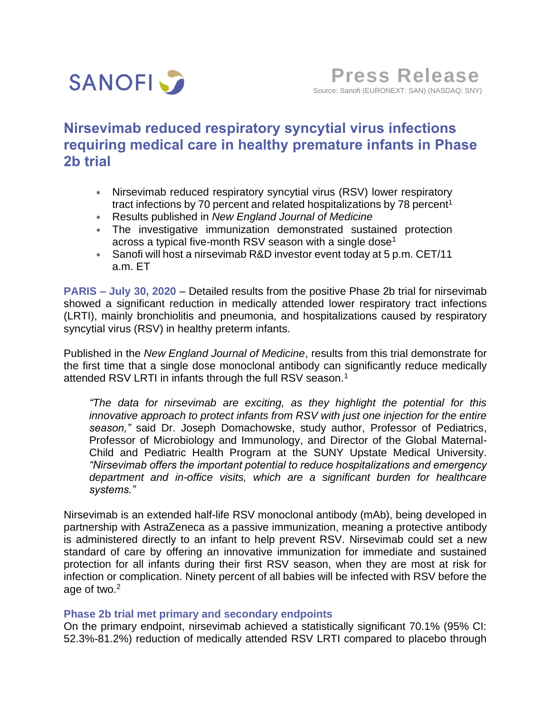

# **Nirsevimab reduced respiratory syncytial virus infections requiring medical care in healthy premature infants in Phase 2b trial**

- Nirsevimab reduced respiratory syncytial virus (RSV) lower respiratory tract infections by 70 percent and related hospitalizations by 78 percent<sup>1</sup>
- Results published in *New England Journal of Medicine*
- The investigative immunization demonstrated sustained protection across a typical five-month RSV season with a single dose<sup>1</sup>
- Sanofi will host a nirsevimab R&D investor event today at 5 p.m. CET/11 a.m. ET

**PARIS – July 30, 2020** – Detailed results from the positive Phase 2b trial for nirsevimab showed a significant reduction in medically attended lower respiratory tract infections (LRTI), mainly bronchiolitis and pneumonia, and hospitalizations caused by respiratory syncytial virus (RSV) in healthy preterm infants.

Published in the *New England Journal of Medicine*, results from this trial demonstrate for the first time that a single dose monoclonal antibody can significantly reduce medically attended RSV LRTI in infants through the full RSV season.<sup>1</sup>

*"The data for nirsevimab are exciting, as they highlight the potential for this innovative approach to protect infants from RSV with just one injection for the entire season,"* said Dr. Joseph Domachowske, study author, Professor of Pediatrics, Professor of Microbiology and Immunology, and Director of the Global Maternal-Child and Pediatric Health Program at the SUNY Upstate Medical University. *"Nirsevimab offers the important potential to reduce hospitalizations and emergency department and in-office visits, which are a significant burden for healthcare systems."*

Nirsevimab is an extended half-life RSV monoclonal antibody (mAb), being developed in partnership with AstraZeneca as a passive immunization, meaning a protective antibody is administered directly to an infant to help prevent RSV. Nirsevimab could set a new standard of care by offering an innovative immunization for immediate and sustained protection for all infants during their first RSV season, when they are most at risk for infection or complication. Ninety percent of all babies will be infected with RSV before the age of two.<sup>2</sup>

## **Phase 2b trial met primary and secondary endpoints**

On the primary endpoint, nirsevimab achieved a statistically significant 70.1% (95% CI: 52.3%-81.2%) reduction of medically attended RSV LRTI compared to placebo through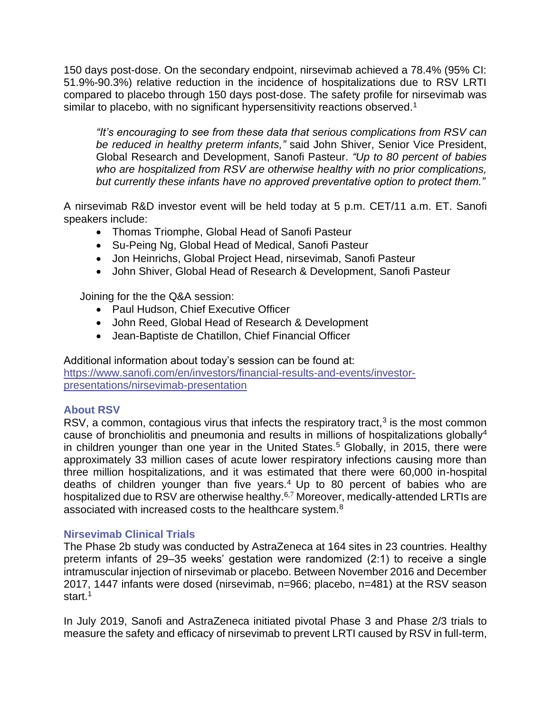150 days post-dose. On the secondary endpoint, nirsevimab achieved a 78.4% (95% CI: 51.9%-90.3%) relative reduction in the incidence of hospitalizations due to RSV LRTI compared to placebo through 150 days post-dose. The safety profile for nirsevimab was similar to placebo, with no significant hypersensitivity reactions observed.<sup>1</sup>

*"It's encouraging to see from these data that serious complications from RSV can be reduced in healthy preterm infants,"* said John Shiver, Senior Vice President, Global Research and Development, Sanofi Pasteur. *"Up to 80 percent of babies who are hospitalized from RSV are otherwise healthy with no prior complications, but currently these infants have no approved preventative option to protect them."*

A nirsevimab R&D investor event will be held today at 5 p.m. CET/11 a.m. ET. Sanofi speakers include:

- Thomas Triomphe, Global Head of Sanofi Pasteur
- Su-Peing Ng, Global Head of Medical, Sanofi Pasteur
- Jon Heinrichs, Global Project Head, nirsevimab, Sanofi Pasteur
- John Shiver, Global Head of Research & Development, Sanofi Pasteur

Joining for the the Q&A session:

- Paul Hudson, Chief Executive Officer
- John Reed, Global Head of Research & Development
- Jean-Baptiste de Chatillon, Chief Financial Officer

Additional information about today's session can be found at: [https://www.sanofi.com/en/investors/financial-results-and-events/investor](https://www.sanofi.com/en/investors/financial-results-and-events/investor-presentations/nirsevimab-presentation)[presentations/nirsevimab-presentation](https://www.sanofi.com/en/investors/financial-results-and-events/investor-presentations/nirsevimab-presentation)

## **About RSV**

RSV, a common, contagious virus that infects the respiratory tract, $3$  is the most common cause of bronchiolitis and pneumonia and results in millions of hospitalizations globally<sup>4</sup> in children younger than one year in the United States.<sup>5</sup> Globally, in 2015, there were approximately 33 million cases of acute lower respiratory infections causing more than three million hospitalizations, and it was estimated that there were 60,000 in-hospital deaths of children younger than five years.<sup>4</sup> Up to 80 percent of babies who are hospitalized due to RSV are otherwise healthy.<sup>6,7</sup> Moreover, medically-attended LRTIs are associated with increased costs to the healthcare system.<sup>8</sup>

## **Nirsevimab Clinical Trials**

The Phase 2b study was conducted by AstraZeneca at 164 sites in 23 countries. Healthy preterm infants of 29–35 weeks' gestation were randomized (2:1) to receive a single intramuscular injection of nirsevimab or placebo. Between November 2016 and December 2017, 1447 infants were dosed (nirsevimab, n=966; placebo, n=481) at the RSV season start. 1

In July 2019, Sanofi and AstraZeneca initiated pivotal Phase 3 and Phase 2/3 trials to measure the safety and efficacy of nirsevimab to prevent LRTI caused by RSV in full-term,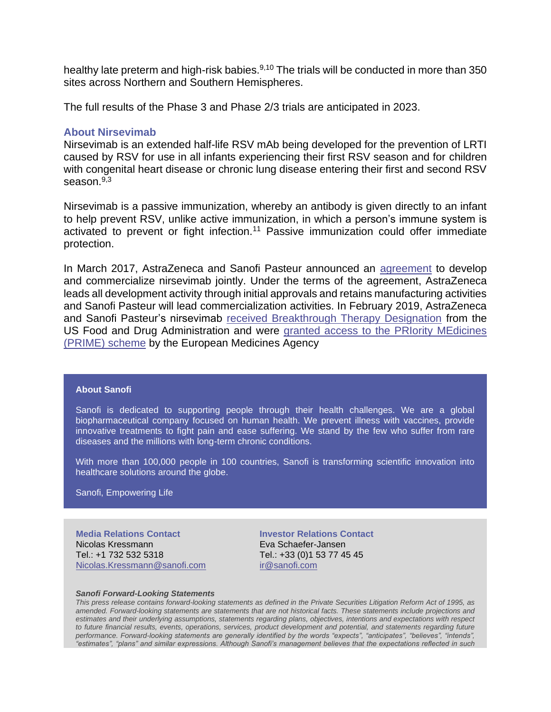healthy late preterm and high-risk babies.<sup>9,10</sup> The trials will be conducted in more than 350 sites across Northern and Southern Hemispheres.

The full results of the Phase 3 and Phase 2/3 trials are anticipated in 2023.

#### **About Nirsevimab**

Nirsevimab is an extended half-life RSV mAb being developed for the prevention of LRTI caused by RSV for use in all infants experiencing their first RSV season and for children with congenital heart disease or chronic lung disease entering their first and second RSV season.9,3

Nirsevimab is a passive immunization, whereby an antibody is given directly to an infant to help prevent RSV, unlike active immunization, in which a person's immune system is activated to prevent or fight infection.<sup>11</sup> Passive immunization could offer immediate protection.

In March 2017, AstraZeneca and Sanofi Pasteur announced an [agreement](https://www.astrazeneca.com/media-centre/press-releases/2017/medimmune-and-sanofi-pasteur-form-alliance-to-develop-and-commercialise-potential-next-generation-respiratory-syncytial-virus-antibody-medi8897-030317.html) to develop and commercialize nirsevimab jointly. Under the terms of the agreement, AstraZeneca leads all development activity through initial approvals and retains manufacturing activities and Sanofi Pasteur will lead commercialization activities. In February 2019, AstraZeneca and Sanofi Pasteur's nirsevimab [received Breakthrough Therapy Designation](https://www.astrazeneca.com/media-centre/press-releases/2019/us-fda-grants-breakthrough-therapy-designation-for-potential-next-generation-rsv-medicine-medi8897.html) from the US Food and Drug Administration and were [granted access to the PRIority MEdicines](https://www.astrazeneca.com/media-centre/press-releases/2019/ema-grants-prime-eligibility-for-potential-next-generation-rsv-medicine-medi8897-05022019.html)  [\(PRIME\) scheme](https://www.astrazeneca.com/media-centre/press-releases/2019/ema-grants-prime-eligibility-for-potential-next-generation-rsv-medicine-medi8897-05022019.html) by the European Medicines Agency

#### **About Sanofi**

Sanofi is dedicated to supporting people through their health challenges. We are a global biopharmaceutical company focused on human health. We prevent illness with vaccines, provide innovative treatments to fight pain and ease suffering. We stand by the few who suffer from rare diseases and the millions with long-term chronic conditions.

With more than 100,000 people in 100 countries, Sanofi is transforming scientific innovation into healthcare solutions around the globe.

Sanofi, Empowering Life

**Media Relations Contact** Nicolas Kressmann Tel.: +1 732 532 5318 [Nicolas.Kressmann@sanofi.com](mailto:Nicolas.Kressmann@sanofi.com) **Investor Relations Contact** Eva Schaefer-Jansen Tel.: +33 (0)1 53 77 45 45 [ir@sanofi.com](mailto:ir@sanofi.com)

#### *Sanofi Forward-Looking Statements*

*This press release contains forward-looking statements as defined in the Private Securities Litigation Reform Act of 1995, as amended. Forward-looking statements are statements that are not historical facts. These statements include projections and estimates and their underlying assumptions, statements regarding plans, objectives, intentions and expectations with respect to future financial results, events, operations, services, product development and potential, and statements regarding future performance. Forward-looking statements are generally identified by the words "expects", "anticipates", "believes", "intends", "estimates", "plans" and similar expressions. Although Sanofi's management believes that the expectations reflected in such*